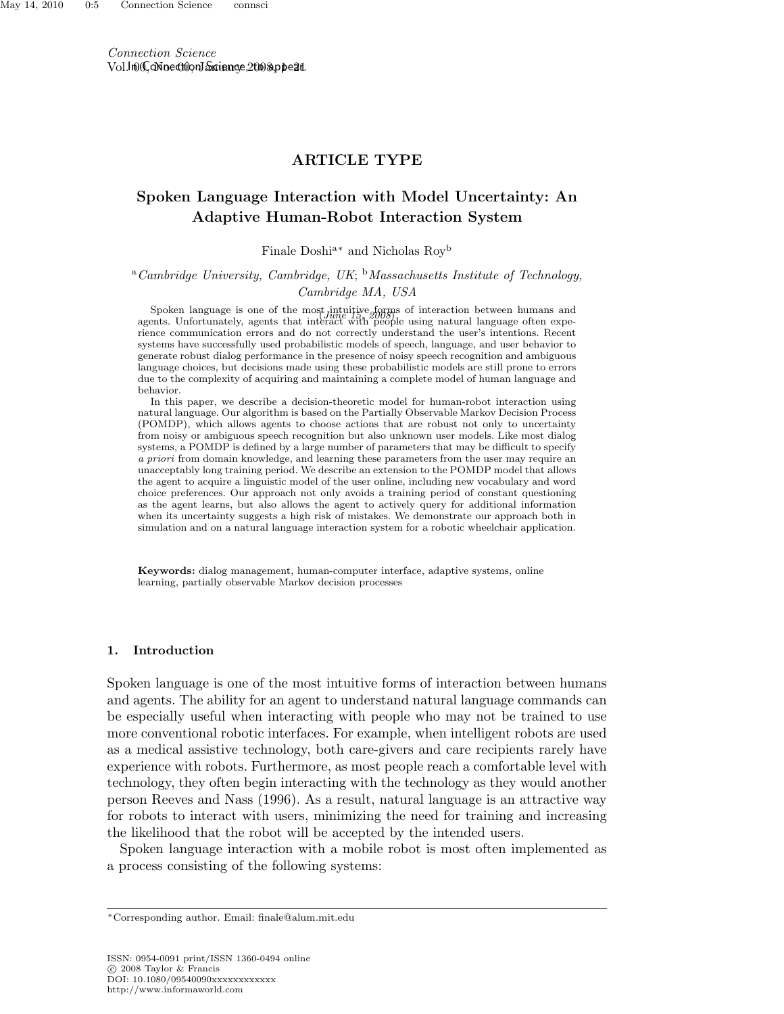Connection Science Vol.lnOC, oN nectrion January e, 2008, ppear.

## ARTICLE TYPE

# Spoken Language Interaction with Model Uncertainty: An Adaptive Human-Robot Interaction System

Finale Doshia<sup>∗</sup> and Nicholas Roy<sup>b</sup>

<sup>a</sup>Cambridge University, Cambridge, UK; <sup>b</sup>Massachusetts Institute of Technology, Cambridge MA, USA

Spoken language is one of the most intuitive forms of interaction between humans and<br>onte Unfortunately, exacts that interaction  $\frac{f_{\text{U}}}{f_{\text{U}}}\approx 0.0001$  wing natural language often avec agents. Unfortunately, agents that interact with people using natural language often experience communication errors and do not correctly understand the user's intentions. Recent systems have successfully used probabilistic models of speech, language, and user behavior to generate robust dialog performance in the presence of noisy speech recognition and ambiguous language choices, but decisions made using these probabilistic models are still prone to errors due to the complexity of acquiring and maintaining a complete model of human language and behavior.

In this paper, we describe a decision-theoretic model for human-robot interaction using natural language. Our algorithm is based on the Partially Observable Markov Decision Process (POMDP), which allows agents to choose actions that are robust not only to uncertainty from noisy or ambiguous speech recognition but also unknown user models. Like most dialog systems, a POMDP is defined by a large number of parameters that may be difficult to specify a priori from domain knowledge, and learning these parameters from the user may require an unacceptably long training period. We describe an extension to the POMDP model that allows the agent to acquire a linguistic model of the user online, including new vocabulary and word choice preferences. Our approach not only avoids a training period of constant questioning as the agent learns, but also allows the agent to actively query for additional information when its uncertainty suggests a high risk of mistakes. We demonstrate our approach both in simulation and on a natural language interaction system for a robotic wheelchair application.

Keywords: dialog management, human-computer interface, adaptive systems, online learning, partially observable Markov decision processes

#### 1. Introduction

Spoken language is one of the most intuitive forms of interaction between humans and agents. The ability for an agent to understand natural language commands can be especially useful when interacting with people who may not be trained to use more conventional robotic interfaces. For example, when intelligent robots are used as a medical assistive technology, both care-givers and care recipients rarely have experience with robots. Furthermore, as most people reach a comfortable level with technology, they often begin interacting with the technology as they would another person Reeves and Nass (1996). As a result, natural language is an attractive way for robots to interact with users, minimizing the need for training and increasing the likelihood that the robot will be accepted by the intended users.

Spoken language interaction with a mobile robot is most often implemented as a process consisting of the following systems:

<sup>∗</sup>Corresponding author. Email: finale@alum.mit.edu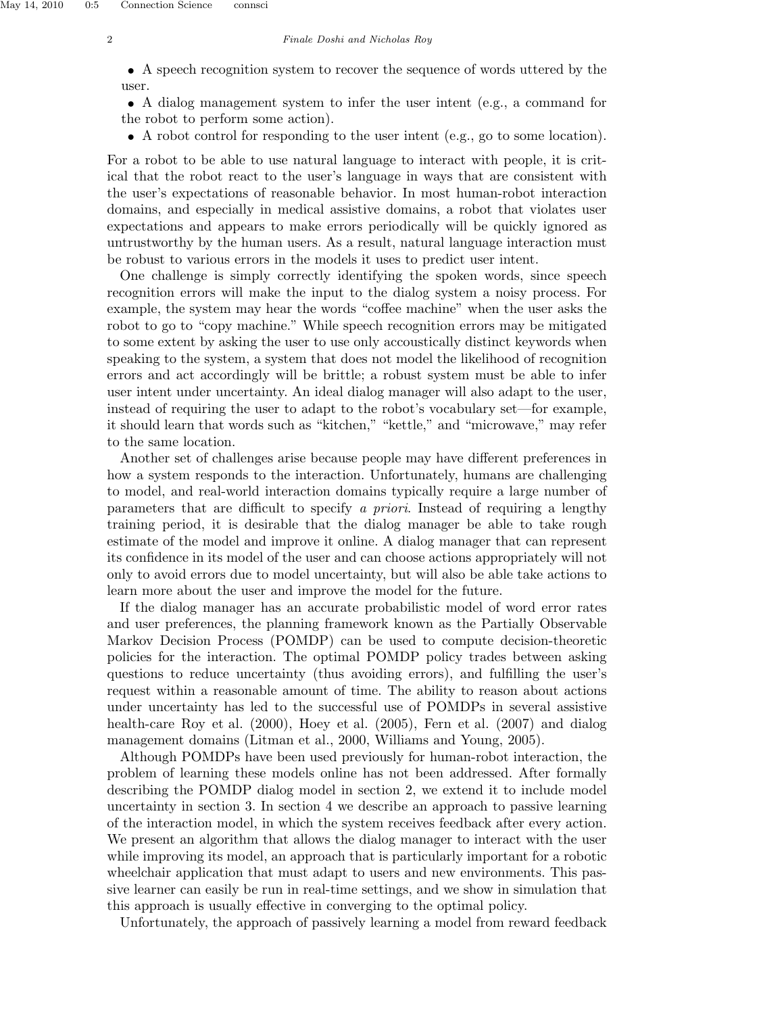## 2 Finale Doshi and Nicholas Roy

• A speech recognition system to recover the sequence of words uttered by the user.

• A dialog management system to infer the user intent (e.g., a command for the robot to perform some action).

• A robot control for responding to the user intent (e.g., go to some location).

For a robot to be able to use natural language to interact with people, it is critical that the robot react to the user's language in ways that are consistent with the user's expectations of reasonable behavior. In most human-robot interaction domains, and especially in medical assistive domains, a robot that violates user expectations and appears to make errors periodically will be quickly ignored as untrustworthy by the human users. As a result, natural language interaction must be robust to various errors in the models it uses to predict user intent.

One challenge is simply correctly identifying the spoken words, since speech recognition errors will make the input to the dialog system a noisy process. For example, the system may hear the words "coffee machine" when the user asks the robot to go to "copy machine." While speech recognition errors may be mitigated to some extent by asking the user to use only accoustically distinct keywords when speaking to the system, a system that does not model the likelihood of recognition errors and act accordingly will be brittle; a robust system must be able to infer user intent under uncertainty. An ideal dialog manager will also adapt to the user, instead of requiring the user to adapt to the robot's vocabulary set—for example, it should learn that words such as "kitchen," "kettle," and "microwave," may refer to the same location.

Another set of challenges arise because people may have different preferences in how a system responds to the interaction. Unfortunately, humans are challenging to model, and real-world interaction domains typically require a large number of parameters that are difficult to specify a priori. Instead of requiring a lengthy training period, it is desirable that the dialog manager be able to take rough estimate of the model and improve it online. A dialog manager that can represent its confidence in its model of the user and can choose actions appropriately will not only to avoid errors due to model uncertainty, but will also be able take actions to learn more about the user and improve the model for the future.

If the dialog manager has an accurate probabilistic model of word error rates and user preferences, the planning framework known as the Partially Observable Markov Decision Process (POMDP) can be used to compute decision-theoretic policies for the interaction. The optimal POMDP policy trades between asking questions to reduce uncertainty (thus avoiding errors), and fulfilling the user's request within a reasonable amount of time. The ability to reason about actions under uncertainty has led to the successful use of POMDPs in several assistive health-care Roy et al. (2000), Hoey et al. (2005), Fern et al. (2007) and dialog management domains (Litman et al., 2000, Williams and Young, 2005).

Although POMDPs have been used previously for human-robot interaction, the problem of learning these models online has not been addressed. After formally describing the POMDP dialog model in section 2, we extend it to include model uncertainty in section 3. In section 4 we describe an approach to passive learning of the interaction model, in which the system receives feedback after every action. We present an algorithm that allows the dialog manager to interact with the user while improving its model, an approach that is particularly important for a robotic wheelchair application that must adapt to users and new environments. This passive learner can easily be run in real-time settings, and we show in simulation that this approach is usually effective in converging to the optimal policy.

Unfortunately, the approach of passively learning a model from reward feedback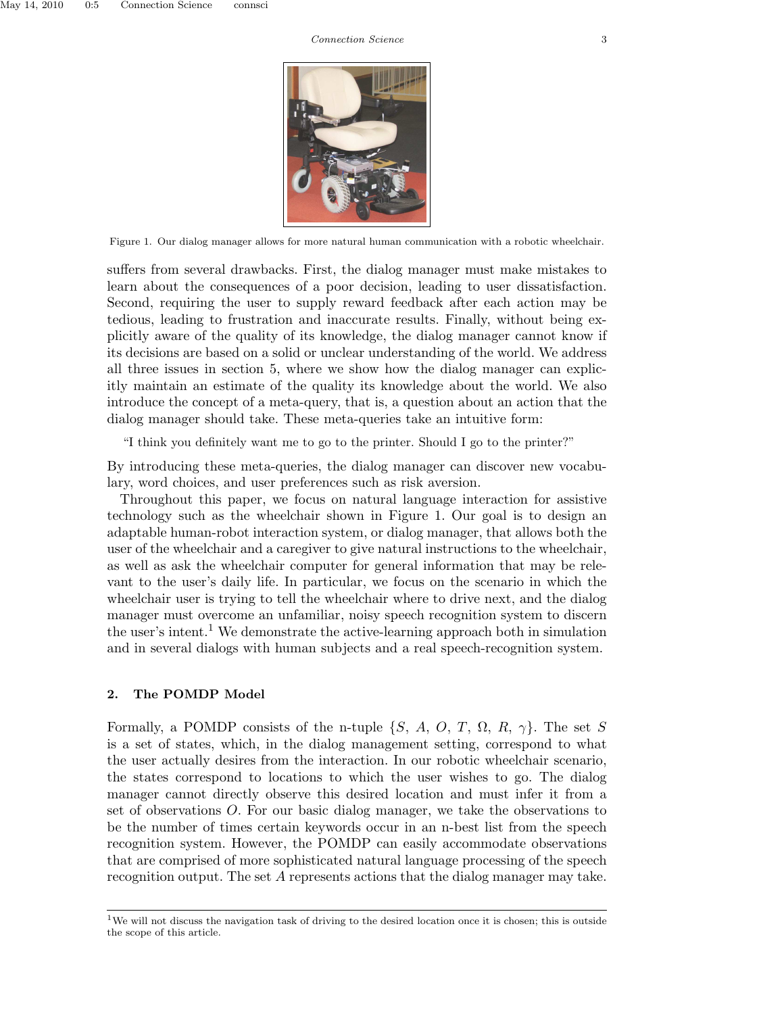

Figure 1. Our dialog manager allows for more natural human communication with a robotic wheelchair.

suffers from several drawbacks. First, the dialog manager must make mistakes to learn about the consequences of a poor decision, leading to user dissatisfaction. Second, requiring the user to supply reward feedback after each action may be tedious, leading to frustration and inaccurate results. Finally, without being explicitly aware of the quality of its knowledge, the dialog manager cannot know if its decisions are based on a solid or unclear understanding of the world. We address all three issues in section 5, where we show how the dialog manager can explicitly maintain an estimate of the quality its knowledge about the world. We also introduce the concept of a meta-query, that is, a question about an action that the dialog manager should take. These meta-queries take an intuitive form:

"I think you definitely want me to go to the printer. Should I go to the printer?"

By introducing these meta-queries, the dialog manager can discover new vocabulary, word choices, and user preferences such as risk aversion.

Throughout this paper, we focus on natural language interaction for assistive technology such as the wheelchair shown in Figure 1. Our goal is to design an adaptable human-robot interaction system, or dialog manager, that allows both the user of the wheelchair and a caregiver to give natural instructions to the wheelchair, as well as ask the wheelchair computer for general information that may be relevant to the user's daily life. In particular, we focus on the scenario in which the wheelchair user is trying to tell the wheelchair where to drive next, and the dialog manager must overcome an unfamiliar, noisy speech recognition system to discern the user's intent.<sup>1</sup> We demonstrate the active-learning approach both in simulation and in several dialogs with human subjects and a real speech-recognition system.

## 2. The POMDP Model

Formally, a POMDP consists of the n-tuple  $\{S, A, O, T, \Omega, R, \gamma\}$ . The set S is a set of states, which, in the dialog management setting, correspond to what the user actually desires from the interaction. In our robotic wheelchair scenario, the states correspond to locations to which the user wishes to go. The dialog manager cannot directly observe this desired location and must infer it from a set of observations O. For our basic dialog manager, we take the observations to be the number of times certain keywords occur in an n-best list from the speech recognition system. However, the POMDP can easily accommodate observations that are comprised of more sophisticated natural language processing of the speech recognition output. The set A represents actions that the dialog manager may take.

<sup>&</sup>lt;sup>1</sup>We will not discuss the navigation task of driving to the desired location once it is chosen; this is outside the scope of this article.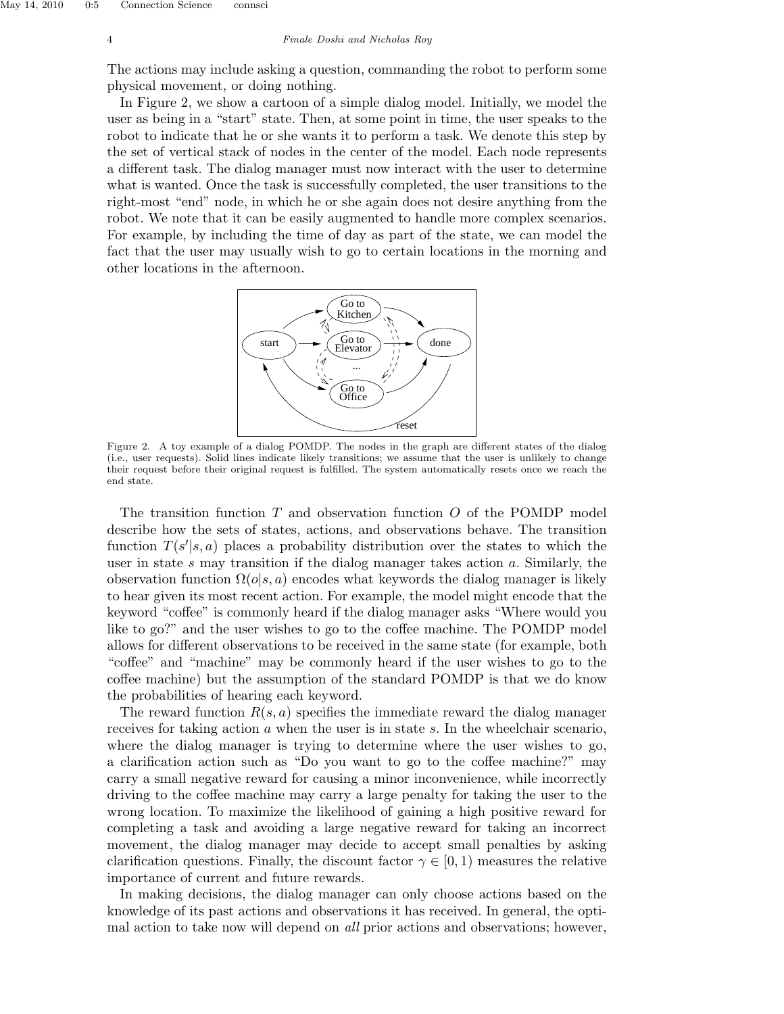The actions may include asking a question, commanding the robot to perform some physical movement, or doing nothing.

In Figure 2, we show a cartoon of a simple dialog model. Initially, we model the user as being in a "start" state. Then, at some point in time, the user speaks to the robot to indicate that he or she wants it to perform a task. We denote this step by the set of vertical stack of nodes in the center of the model. Each node represents a different task. The dialog manager must now interact with the user to determine what is wanted. Once the task is successfully completed, the user transitions to the right-most "end" node, in which he or she again does not desire anything from the robot. We note that it can be easily augmented to handle more complex scenarios. For example, by including the time of day as part of the state, we can model the fact that the user may usually wish to go to certain locations in the morning and other locations in the afternoon.



Figure 2. A toy example of a dialog POMDP. The nodes in the graph are different states of the dialog (i.e., user requests). Solid lines indicate likely transitions; we assume that the user is unlikely to change their request before their original request is fulfilled. The system automatically resets once we reach the end state.

The transition function  $T$  and observation function  $O$  of the POMDP model describe how the sets of states, actions, and observations behave. The transition function  $T(s'|s, a)$  places a probability distribution over the states to which the user in state  $s$  may transition if the dialog manager takes action  $a$ . Similarly, the observation function  $\Omega(o|s, a)$  encodes what keywords the dialog manager is likely to hear given its most recent action. For example, the model might encode that the keyword "coffee" is commonly heard if the dialog manager asks "Where would you like to go?" and the user wishes to go to the coffee machine. The POMDP model allows for different observations to be received in the same state (for example, both "coffee" and "machine" may be commonly heard if the user wishes to go to the coffee machine) but the assumption of the standard POMDP is that we do know the probabilities of hearing each keyword.

The reward function  $R(s, a)$  specifies the immediate reward the dialog manager receives for taking action a when the user is in state s. In the wheelchair scenario, where the dialog manager is trying to determine where the user wishes to go, a clarification action such as "Do you want to go to the coffee machine?" may carry a small negative reward for causing a minor inconvenience, while incorrectly driving to the coffee machine may carry a large penalty for taking the user to the wrong location. To maximize the likelihood of gaining a high positive reward for completing a task and avoiding a large negative reward for taking an incorrect movement, the dialog manager may decide to accept small penalties by asking clarification questions. Finally, the discount factor  $\gamma \in [0, 1)$  measures the relative importance of current and future rewards.

In making decisions, the dialog manager can only choose actions based on the knowledge of its past actions and observations it has received. In general, the optimal action to take now will depend on *all* prior actions and observations; however,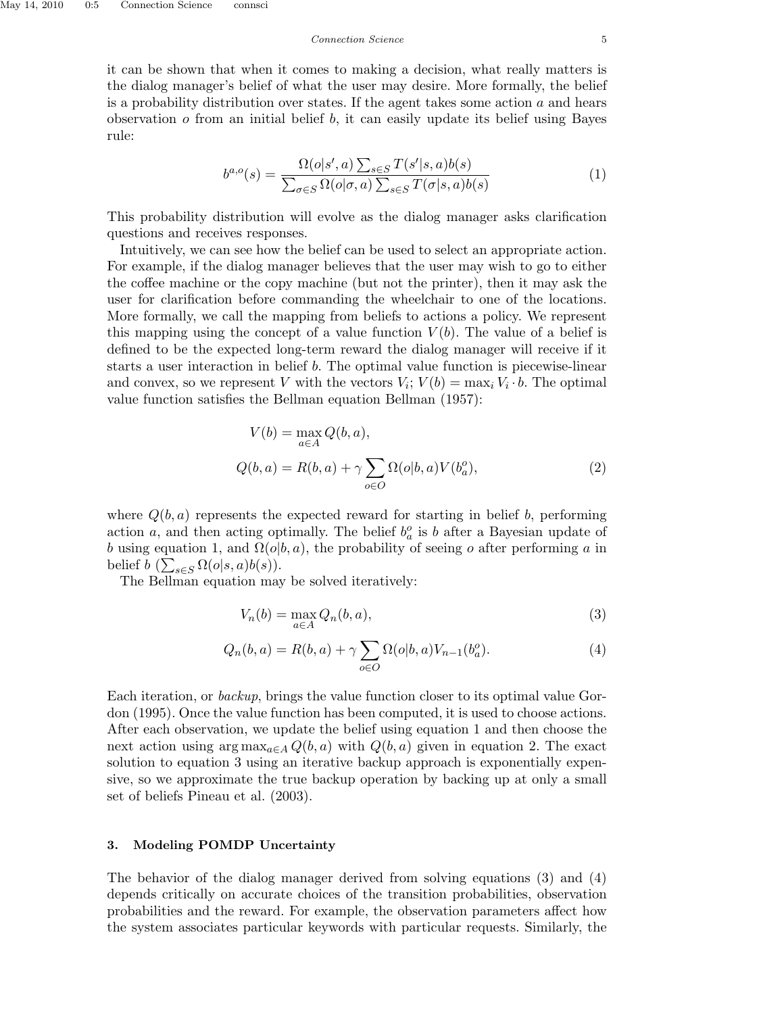it can be shown that when it comes to making a decision, what really matters is the dialog manager's belief of what the user may desire. More formally, the belief is a probability distribution over states. If the agent takes some action  $a$  and hears observation  $o$  from an initial belief  $b$ , it can easily update its belief using Bayes rule:

$$
b^{a,o}(s) = \frac{\Omega(o|s',a) \sum_{s \in S} T(s'|s,a)b(s)}{\sum_{\sigma \in S} \Omega(o|\sigma,a) \sum_{s \in S} T(\sigma|s,a)b(s)}
$$
(1)

This probability distribution will evolve as the dialog manager asks clarification questions and receives responses.

Intuitively, we can see how the belief can be used to select an appropriate action. For example, if the dialog manager believes that the user may wish to go to either the coffee machine or the copy machine (but not the printer), then it may ask the user for clarification before commanding the wheelchair to one of the locations. More formally, we call the mapping from beliefs to actions a policy. We represent this mapping using the concept of a value function  $V(b)$ . The value of a belief is defined to be the expected long-term reward the dialog manager will receive if it starts a user interaction in belief b. The optimal value function is piecewise-linear and convex, so we represent V with the vectors  $V_i$ ;  $V(b) = \max_i V_i \cdot b$ . The optimal value function satisfies the Bellman equation Bellman (1957):

$$
V(b) = \max_{a \in A} Q(b, a),
$$
  
\n
$$
Q(b, a) = R(b, a) + \gamma \sum_{o \in O} \Omega(o|b, a) V(b_a^o),
$$
\n(2)

where  $Q(b, a)$  represents the expected reward for starting in belief b, performing action a, and then acting optimally. The belief  $b_a^o$  is b after a Bayesian update of b using equation 1, and  $\Omega(o|b, a)$ , the probability of seeing o after performing a in belief  $b\left(\sum_{s\in S}\Omega(o|s,a)b(s)\right)$ .

The Bellman equation may be solved iteratively:

$$
V_n(b) = \max_{a \in A} Q_n(b, a),\tag{3}
$$

$$
Q_n(b, a) = R(b, a) + \gamma \sum_{o \in O} \Omega(o|b, a) V_{n-1}(b_a^o).
$$
 (4)

Each iteration, or backup, brings the value function closer to its optimal value Gordon (1995). Once the value function has been computed, it is used to choose actions. After each observation, we update the belief using equation 1 and then choose the next action using  $\arg \max_{a \in A} Q(b, a)$  with  $Q(b, a)$  given in equation 2. The exact solution to equation 3 using an iterative backup approach is exponentially expensive, so we approximate the true backup operation by backing up at only a small set of beliefs Pineau et al. (2003).

## 3. Modeling POMDP Uncertainty

The behavior of the dialog manager derived from solving equations (3) and (4) depends critically on accurate choices of the transition probabilities, observation probabilities and the reward. For example, the observation parameters affect how the system associates particular keywords with particular requests. Similarly, the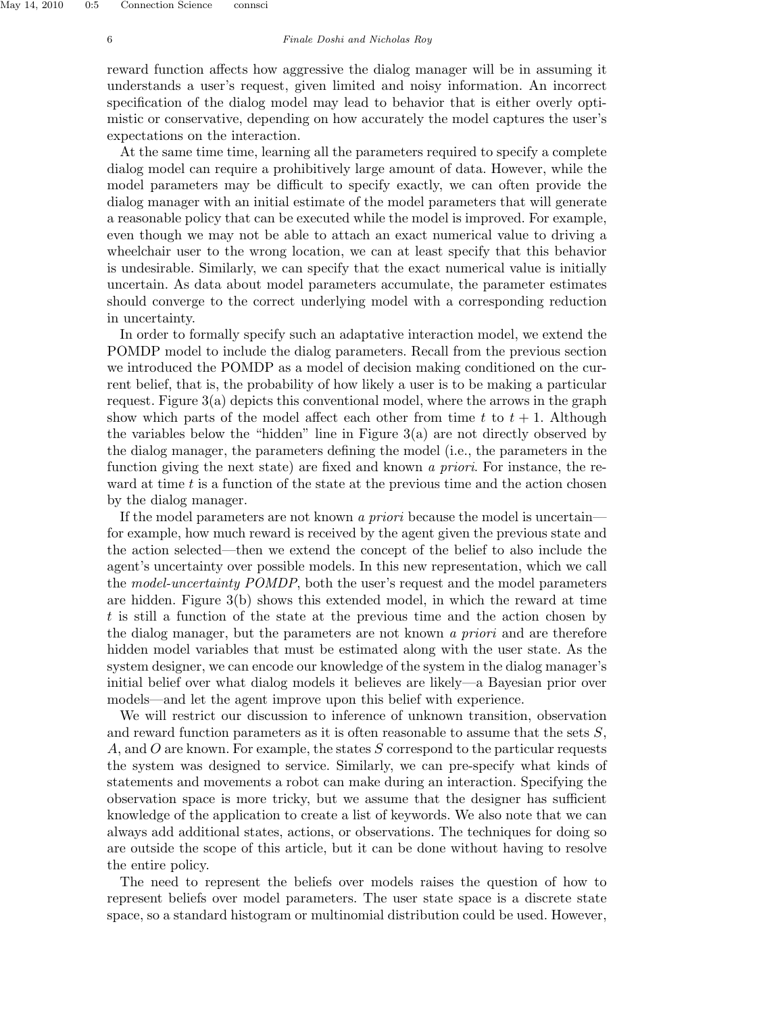#### 6 Finale Doshi and Nicholas Roy

reward function affects how aggressive the dialog manager will be in assuming it understands a user's request, given limited and noisy information. An incorrect specification of the dialog model may lead to behavior that is either overly optimistic or conservative, depending on how accurately the model captures the user's expectations on the interaction.

At the same time time, learning all the parameters required to specify a complete dialog model can require a prohibitively large amount of data. However, while the model parameters may be difficult to specify exactly, we can often provide the dialog manager with an initial estimate of the model parameters that will generate a reasonable policy that can be executed while the model is improved. For example, even though we may not be able to attach an exact numerical value to driving a wheelchair user to the wrong location, we can at least specify that this behavior is undesirable. Similarly, we can specify that the exact numerical value is initially uncertain. As data about model parameters accumulate, the parameter estimates should converge to the correct underlying model with a corresponding reduction in uncertainty.

In order to formally specify such an adaptative interaction model, we extend the POMDP model to include the dialog parameters. Recall from the previous section we introduced the POMDP as a model of decision making conditioned on the current belief, that is, the probability of how likely a user is to be making a particular request. Figure 3(a) depicts this conventional model, where the arrows in the graph show which parts of the model affect each other from time t to  $t + 1$ . Although the variables below the "hidden" line in Figure 3(a) are not directly observed by the dialog manager, the parameters defining the model (i.e., the parameters in the function giving the next state) are fixed and known a priori. For instance, the reward at time  $t$  is a function of the state at the previous time and the action chosen by the dialog manager.

If the model parameters are not known a priori because the model is uncertain for example, how much reward is received by the agent given the previous state and the action selected—then we extend the concept of the belief to also include the agent's uncertainty over possible models. In this new representation, which we call the model-uncertainty POMDP, both the user's request and the model parameters are hidden. Figure  $3(b)$  shows this extended model, in which the reward at time t is still a function of the state at the previous time and the action chosen by the dialog manager, but the parameters are not known a priori and are therefore hidden model variables that must be estimated along with the user state. As the system designer, we can encode our knowledge of the system in the dialog manager's initial belief over what dialog models it believes are likely—a Bayesian prior over models—and let the agent improve upon this belief with experience.

We will restrict our discussion to inference of unknown transition, observation and reward function parameters as it is often reasonable to assume that the sets  $S$ , A, and O are known. For example, the states  $S$  correspond to the particular requests the system was designed to service. Similarly, we can pre-specify what kinds of statements and movements a robot can make during an interaction. Specifying the observation space is more tricky, but we assume that the designer has sufficient knowledge of the application to create a list of keywords. We also note that we can always add additional states, actions, or observations. The techniques for doing so are outside the scope of this article, but it can be done without having to resolve the entire policy.

The need to represent the beliefs over models raises the question of how to represent beliefs over model parameters. The user state space is a discrete state space, so a standard histogram or multinomial distribution could be used. However,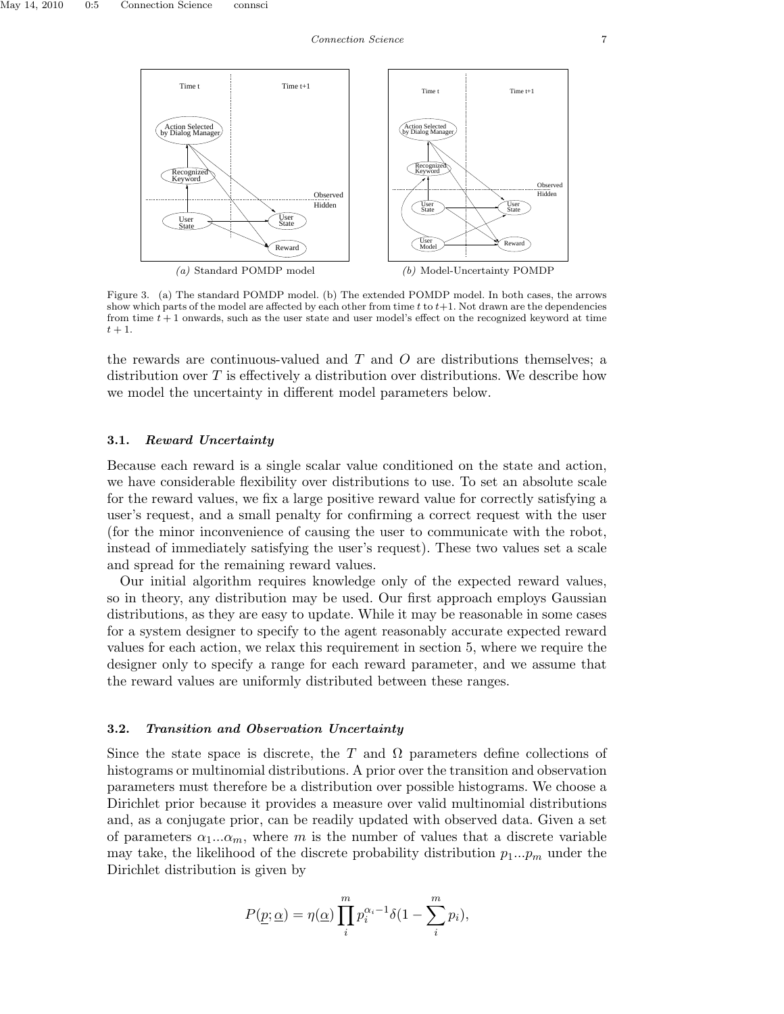

Figure 3. (a) The standard POMDP model. (b) The extended POMDP model. In both cases, the arrows show which parts of the model are affected by each other from time  $t$  to  $t+1$ . Not drawn are the dependencies from time  $t + 1$  onwards, such as the user state and user model's effect on the recognized keyword at time  $t + 1$ .

the rewards are continuous-valued and  $T$  and  $O$  are distributions themselves; a distribution over  $T$  is effectively a distribution over distributions. We describe how we model the uncertainty in different model parameters below.

## 3.1. Reward Uncertainty

Because each reward is a single scalar value conditioned on the state and action, we have considerable flexibility over distributions to use. To set an absolute scale for the reward values, we fix a large positive reward value for correctly satisfying a user's request, and a small penalty for confirming a correct request with the user (for the minor inconvenience of causing the user to communicate with the robot, instead of immediately satisfying the user's request). These two values set a scale and spread for the remaining reward values.

Our initial algorithm requires knowledge only of the expected reward values, so in theory, any distribution may be used. Our first approach employs Gaussian distributions, as they are easy to update. While it may be reasonable in some cases for a system designer to specify to the agent reasonably accurate expected reward values for each action, we relax this requirement in section 5, where we require the designer only to specify a range for each reward parameter, and we assume that the reward values are uniformly distributed between these ranges.

#### 3.2. Transition and Observation Uncertainty

Since the state space is discrete, the T and  $\Omega$  parameters define collections of histograms or multinomial distributions. A prior over the transition and observation parameters must therefore be a distribution over possible histograms. We choose a Dirichlet prior because it provides a measure over valid multinomial distributions and, as a conjugate prior, can be readily updated with observed data. Given a set of parameters  $\alpha_1...\alpha_m$ , where m is the number of values that a discrete variable may take, the likelihood of the discrete probability distribution  $p_1...p_m$  under the Dirichlet distribution is given by

$$
P(\underline{p}; \underline{\alpha}) = \eta(\underline{\alpha}) \prod_{i}^{m} p_i^{\alpha_i - 1} \delta(1 - \sum_{i}^{m} p_i),
$$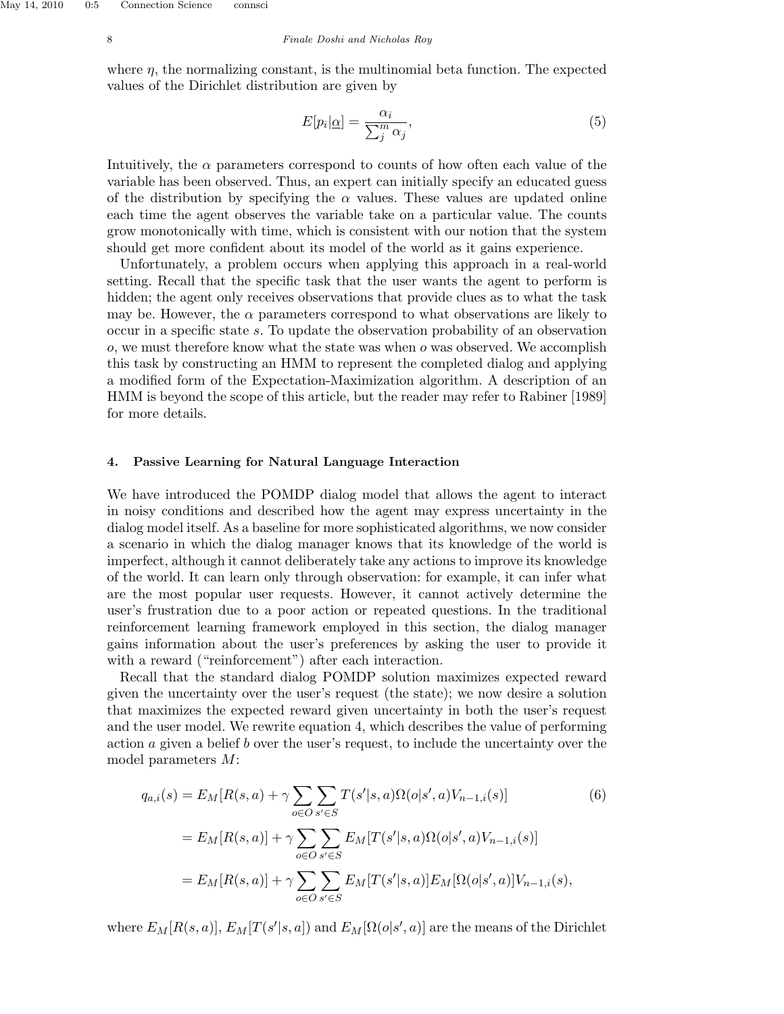#### 8 Finale Doshi and Nicholas Roy

where  $\eta$ , the normalizing constant, is the multinomial beta function. The expected values of the Dirichlet distribution are given by

$$
E[p_i|\underline{\alpha}] = \frac{\alpha_i}{\sum_{j}^{m} \alpha_j},\tag{5}
$$

Intuitively, the  $\alpha$  parameters correspond to counts of how often each value of the variable has been observed. Thus, an expert can initially specify an educated guess of the distribution by specifying the  $\alpha$  values. These values are updated online each time the agent observes the variable take on a particular value. The counts grow monotonically with time, which is consistent with our notion that the system should get more confident about its model of the world as it gains experience.

Unfortunately, a problem occurs when applying this approach in a real-world setting. Recall that the specific task that the user wants the agent to perform is hidden; the agent only receives observations that provide clues as to what the task may be. However, the  $\alpha$  parameters correspond to what observations are likely to occur in a specific state s. To update the observation probability of an observation  $o$ , we must therefore know what the state was when  $o$  was observed. We accomplish this task by constructing an HMM to represent the completed dialog and applying a modified form of the Expectation-Maximization algorithm. A description of an HMM is beyond the scope of this article, but the reader may refer to Rabiner [1989] for more details.

#### 4. Passive Learning for Natural Language Interaction

We have introduced the POMDP dialog model that allows the agent to interact in noisy conditions and described how the agent may express uncertainty in the dialog model itself. As a baseline for more sophisticated algorithms, we now consider a scenario in which the dialog manager knows that its knowledge of the world is imperfect, although it cannot deliberately take any actions to improve its knowledge of the world. It can learn only through observation: for example, it can infer what are the most popular user requests. However, it cannot actively determine the user's frustration due to a poor action or repeated questions. In the traditional reinforcement learning framework employed in this section, the dialog manager gains information about the user's preferences by asking the user to provide it with a reward ("reinforcement") after each interaction.

Recall that the standard dialog POMDP solution maximizes expected reward given the uncertainty over the user's request (the state); we now desire a solution that maximizes the expected reward given uncertainty in both the user's request and the user model. We rewrite equation 4, which describes the value of performing action a given a belief b over the user's request, to include the uncertainty over the model parameters M:

$$
q_{a,i}(s) = E_M[R(s,a) + \gamma \sum_{o \in O} \sum_{s' \in S} T(s'|s,a) \Omega(o|s',a) V_{n-1,i}(s)]
$$
(6)  
= 
$$
E_M[R(s,a)] + \gamma \sum_{o \in O} \sum_{s' \in S} E_M[T(s'|s,a) \Omega(o|s',a) V_{n-1,i}(s)]
$$
  
= 
$$
E_M[R(s,a)] + \gamma \sum_{o \in O} \sum_{s' \in S} E_M[T(s'|s,a)] E_M[\Omega(o|s',a)] V_{n-1,i}(s),
$$

where  $E_M[R(s, a)], E_M[T(s'|s, a])$  and  $E_M[\Omega(o|s', a)]$  are the means of the Dirichlet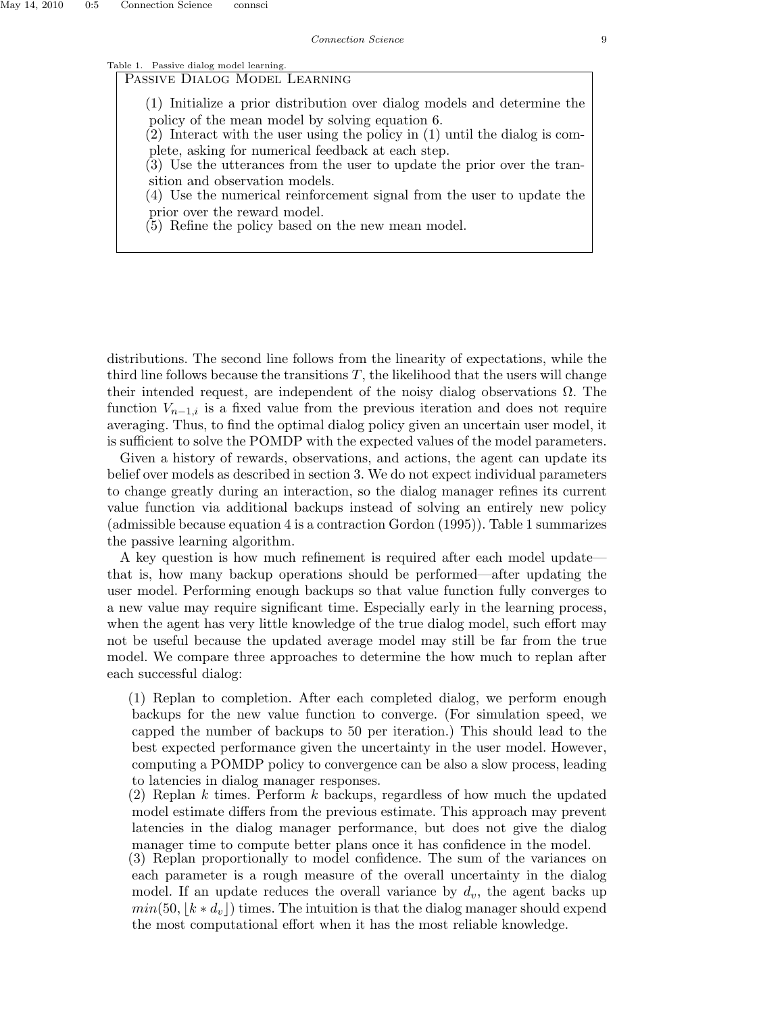## Table 1. Passive dialog model learning.

Passive Dialog Model Learning

(1) Initialize a prior distribution over dialog models and determine the policy of the mean model by solving equation 6.

(2) Interact with the user using the policy in (1) until the dialog is complete, asking for numerical feedback at each step.

(3) Use the utterances from the user to update the prior over the transition and observation models.

(4) Use the numerical reinforcement signal from the user to update the prior over the reward model.

(5) Refine the policy based on the new mean model.

distributions. The second line follows from the linearity of expectations, while the third line follows because the transitions  $T$ , the likelihood that the users will change their intended request, are independent of the noisy dialog observations  $\Omega$ . The function  $V_{n-1,i}$  is a fixed value from the previous iteration and does not require averaging. Thus, to find the optimal dialog policy given an uncertain user model, it is sufficient to solve the POMDP with the expected values of the model parameters.

Given a history of rewards, observations, and actions, the agent can update its belief over models as described in section 3. We do not expect individual parameters to change greatly during an interaction, so the dialog manager refines its current value function via additional backups instead of solving an entirely new policy (admissible because equation 4 is a contraction Gordon (1995)). Table 1 summarizes the passive learning algorithm.

A key question is how much refinement is required after each model update that is, how many backup operations should be performed—after updating the user model. Performing enough backups so that value function fully converges to a new value may require significant time. Especially early in the learning process, when the agent has very little knowledge of the true dialog model, such effort may not be useful because the updated average model may still be far from the true model. We compare three approaches to determine the how much to replan after each successful dialog:

(1) Replan to completion. After each completed dialog, we perform enough backups for the new value function to converge. (For simulation speed, we capped the number of backups to 50 per iteration.) This should lead to the best expected performance given the uncertainty in the user model. However, computing a POMDP policy to convergence can be also a slow process, leading to latencies in dialog manager responses.

(2) Replan  $k$  times. Perform  $k$  backups, regardless of how much the updated model estimate differs from the previous estimate. This approach may prevent latencies in the dialog manager performance, but does not give the dialog manager time to compute better plans once it has confidence in the model.

(3) Replan proportionally to model confidence. The sum of the variances on each parameter is a rough measure of the overall uncertainty in the dialog model. If an update reduces the overall variance by  $d_v$ , the agent backs up  $min(50, |k * d_v|)$  times. The intuition is that the dialog manager should expend the most computational effort when it has the most reliable knowledge.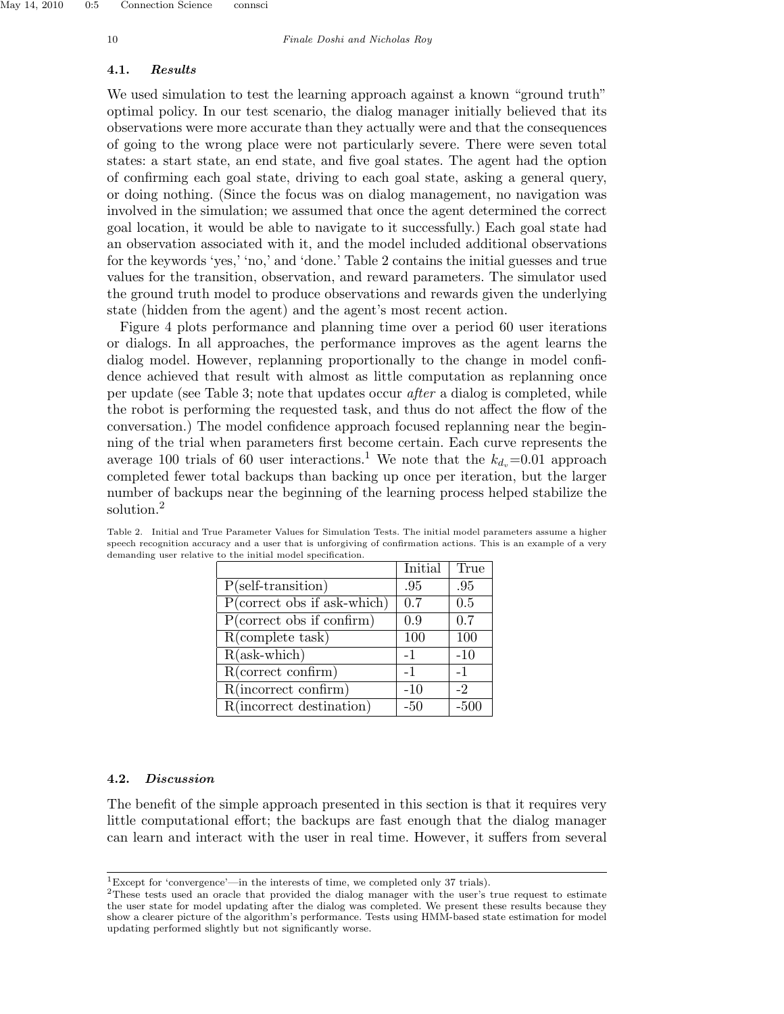#### 4.1. Results

We used simulation to test the learning approach against a known "ground truth" optimal policy. In our test scenario, the dialog manager initially believed that its observations were more accurate than they actually were and that the consequences of going to the wrong place were not particularly severe. There were seven total states: a start state, an end state, and five goal states. The agent had the option of confirming each goal state, driving to each goal state, asking a general query, or doing nothing. (Since the focus was on dialog management, no navigation was involved in the simulation; we assumed that once the agent determined the correct goal location, it would be able to navigate to it successfully.) Each goal state had an observation associated with it, and the model included additional observations for the keywords 'yes,' 'no,' and 'done.' Table 2 contains the initial guesses and true values for the transition, observation, and reward parameters. The simulator used the ground truth model to produce observations and rewards given the underlying state (hidden from the agent) and the agent's most recent action.

Figure 4 plots performance and planning time over a period 60 user iterations or dialogs. In all approaches, the performance improves as the agent learns the dialog model. However, replanning proportionally to the change in model confidence achieved that result with almost as little computation as replanning once per update (see Table 3; note that updates occur after a dialog is completed, while the robot is performing the requested task, and thus do not affect the flow of the conversation.) The model confidence approach focused replanning near the beginning of the trial when parameters first become certain. Each curve represents the average 100 trials of 60 user interactions.<sup>1</sup> We note that the  $k_{d_n}=0.01$  approach completed fewer total backups than backing up once per iteration, but the larger number of backups near the beginning of the learning process helped stabilize the solution.<sup>2</sup>

|                               | Initial | True  |
|-------------------------------|---------|-------|
| $P$ (self-transition)         | .95     | .95   |
| $P(correct obs if ask-which)$ | 0.7     | 0.5   |
| P(correct obs if confirm)     | 0.9     | 0.7   |
| $R$ (complete task)           | 100     | 100   |
| $R(ask\text{-which})$         | $-1$    | $-10$ |
| R(correct confirm)            | $-1$    | $-1$  |
| $R(incorrect\,\,confirm)$     | $-10$   | -2    |
| R(incorrect destination)      | $-50$   | -50   |

Table 2. Initial and True Parameter Values for Simulation Tests. The initial model parameters assume a higher speech recognition accuracy and a user that is unforgiving of confirmation actions. This is an example of a very demanding user relative to the initial model specification.

## 4.2. Discussion

The benefit of the simple approach presented in this section is that it requires very little computational effort; the backups are fast enough that the dialog manager can learn and interact with the user in real time. However, it suffers from several

<sup>1</sup>Except for 'convergence'—in the interests of time, we completed only 37 trials).

<sup>2</sup>These tests used an oracle that provided the dialog manager with the user's true request to estimate the user state for model updating after the dialog was completed. We present these results because they show a clearer picture of the algorithm's performance. Tests using HMM-based state estimation for model updating performed slightly but not significantly worse.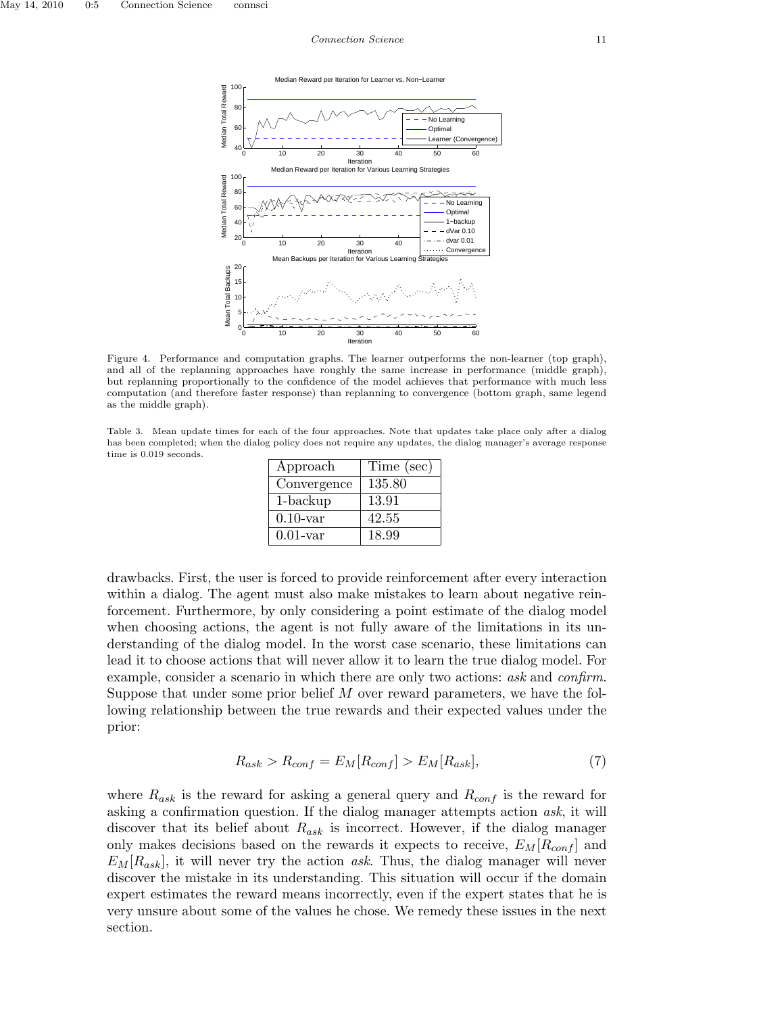

Figure 4. Performance and computation graphs. The learner outperforms the non-learner (top graph), and all of the replanning approaches have roughly the same increase in performance (middle graph), but replanning proportionally to the confidence of the model achieves that performance with much less computation (and therefore faster response) than replanning to convergence (bottom graph, same legend as the middle graph).

Table 3. Mean update times for each of the four approaches. Note that updates take place only after a dialog has been completed; when the dialog policy does not require any updates, the dialog manager's average response time is 0.019 seconds.

| Approach    | Time (sec) |
|-------------|------------|
| Convergence | 135.80     |
| $1$ -backup | 13.91      |
| $0.10$ -var | 42.55      |
| $0.01$ -var | 18.99      |

drawbacks. First, the user is forced to provide reinforcement after every interaction within a dialog. The agent must also make mistakes to learn about negative reinforcement. Furthermore, by only considering a point estimate of the dialog model when choosing actions, the agent is not fully aware of the limitations in its understanding of the dialog model. In the worst case scenario, these limitations can lead it to choose actions that will never allow it to learn the true dialog model. For example, consider a scenario in which there are only two actions: ask and confirm. Suppose that under some prior belief M over reward parameters, we have the following relationship between the true rewards and their expected values under the prior:

$$
R_{ask} > R_{conf} = E_M[R_{conf}] > E_M[R_{ask}],
$$
\n
$$
(7)
$$

where  $R_{ask}$  is the reward for asking a general query and  $R_{conf}$  is the reward for asking a confirmation question. If the dialog manager attempts action ask, it will discover that its belief about  $R_{ask}$  is incorrect. However, if the dialog manager only makes decisions based on the rewards it expects to receive,  $E_M[R_{conf}]$  and  $E_M[R_{ask}]$ , it will never try the action ask. Thus, the dialog manager will never discover the mistake in its understanding. This situation will occur if the domain expert estimates the reward means incorrectly, even if the expert states that he is very unsure about some of the values he chose. We remedy these issues in the next section.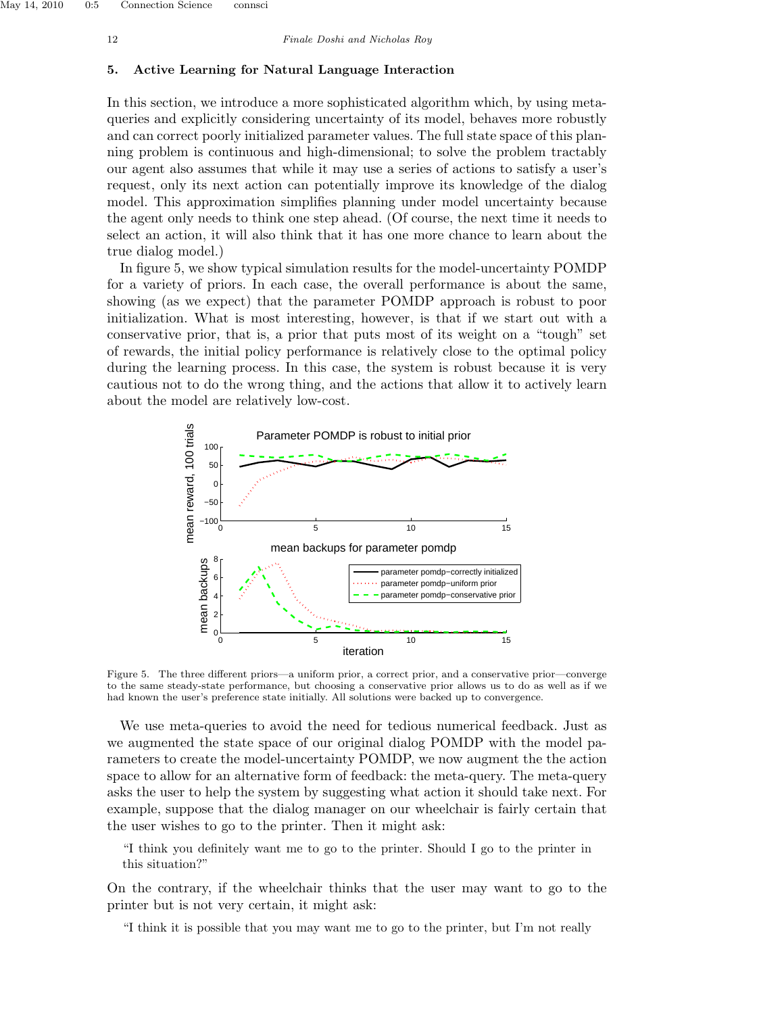## 5. Active Learning for Natural Language Interaction

In this section, we introduce a more sophisticated algorithm which, by using metaqueries and explicitly considering uncertainty of its model, behaves more robustly and can correct poorly initialized parameter values. The full state space of this planning problem is continuous and high-dimensional; to solve the problem tractably our agent also assumes that while it may use a series of actions to satisfy a user's request, only its next action can potentially improve its knowledge of the dialog model. This approximation simplifies planning under model uncertainty because the agent only needs to think one step ahead. (Of course, the next time it needs to select an action, it will also think that it has one more chance to learn about the true dialog model.)

In figure 5, we show typical simulation results for the model-uncertainty POMDP for a variety of priors. In each case, the overall performance is about the same, showing (as we expect) that the parameter POMDP approach is robust to poor initialization. What is most interesting, however, is that if we start out with a conservative prior, that is, a prior that puts most of its weight on a "tough" set of rewards, the initial policy performance is relatively close to the optimal policy during the learning process. In this case, the system is robust because it is very cautious not to do the wrong thing, and the actions that allow it to actively learn about the model are relatively low-cost.



Figure 5. The three different priors—a uniform prior, a correct prior, and a conservative prior—converge to the same steady-state performance, but choosing a conservative prior allows us to do as well as if we had known the user's preference state initially. All solutions were backed up to convergence.

We use meta-queries to avoid the need for tedious numerical feedback. Just as we augmented the state space of our original dialog POMDP with the model parameters to create the model-uncertainty POMDP, we now augment the the action space to allow for an alternative form of feedback: the meta-query. The meta-query asks the user to help the system by suggesting what action it should take next. For example, suppose that the dialog manager on our wheelchair is fairly certain that the user wishes to go to the printer. Then it might ask:

"I think you definitely want me to go to the printer. Should I go to the printer in this situation?"

On the contrary, if the wheelchair thinks that the user may want to go to the printer but is not very certain, it might ask:

"I think it is possible that you may want me to go to the printer, but I'm not really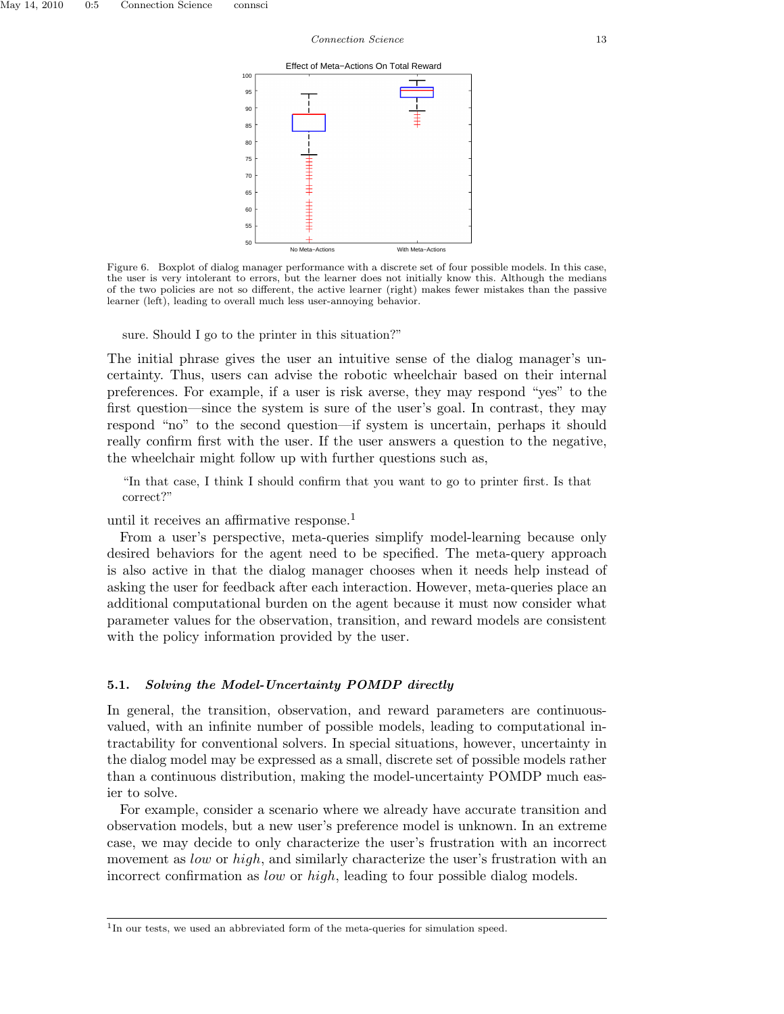Effect of Meta−Actions On Total Reward



Figure 6. Boxplot of dialog manager performance with a discrete set of four possible models. In this case, the user is very intolerant to errors, but the learner does not initially know this. Although the medians of the two policies are not so different, the active learner (right) makes fewer mistakes than the passive learner (left), leading to overall much less user-annoying behavior.

sure. Should I go to the printer in this situation?"

The initial phrase gives the user an intuitive sense of the dialog manager's uncertainty. Thus, users can advise the robotic wheelchair based on their internal preferences. For example, if a user is risk averse, they may respond "yes" to the first question—since the system is sure of the user's goal. In contrast, they may respond "no" to the second question—if system is uncertain, perhaps it should really confirm first with the user. If the user answers a question to the negative, the wheelchair might follow up with further questions such as,

"In that case, I think I should confirm that you want to go to printer first. Is that correct?"

until it receives an affirmative response.<sup>1</sup>

From a user's perspective, meta-queries simplify model-learning because only desired behaviors for the agent need to be specified. The meta-query approach is also active in that the dialog manager chooses when it needs help instead of asking the user for feedback after each interaction. However, meta-queries place an additional computational burden on the agent because it must now consider what parameter values for the observation, transition, and reward models are consistent with the policy information provided by the user.

#### 5.1. Solving the Model-Uncertainty POMDP directly

In general, the transition, observation, and reward parameters are continuousvalued, with an infinite number of possible models, leading to computational intractability for conventional solvers. In special situations, however, uncertainty in the dialog model may be expressed as a small, discrete set of possible models rather than a continuous distribution, making the model-uncertainty POMDP much easier to solve.

For example, consider a scenario where we already have accurate transition and observation models, but a new user's preference model is unknown. In an extreme case, we may decide to only characterize the user's frustration with an incorrect movement as *low* or *high*, and similarly characterize the user's frustration with an incorrect confirmation as low or high, leading to four possible dialog models.

<sup>&</sup>lt;sup>1</sup>In our tests, we used an abbreviated form of the meta-queries for simulation speed.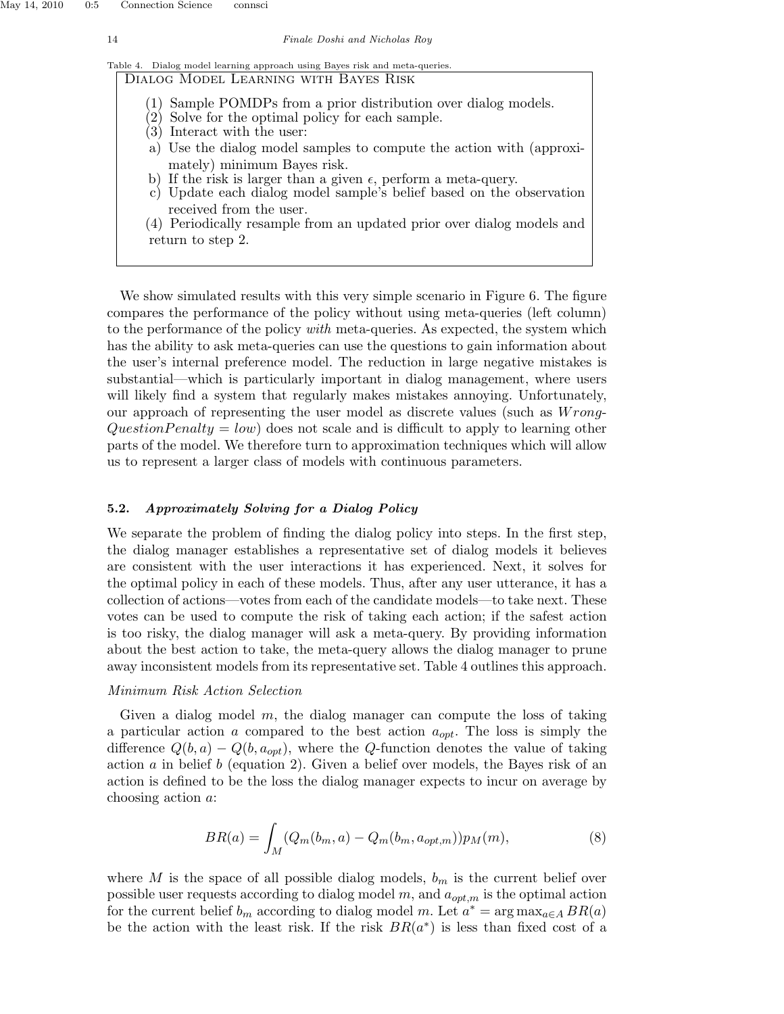|  |                                       |  |  |  | Table 4. Dialog model learning approach using Bayes risk and meta-queries. |  |
|--|---------------------------------------|--|--|--|----------------------------------------------------------------------------|--|
|  | DIALOG MODEL LEARNING WITH BAYES RISK |  |  |  |                                                                            |  |

- (1) Sample POMDPs from a prior distribution over dialog models.
- (2) Solve for the optimal policy for each sample.
- (3) Interact with the user:
- a) Use the dialog model samples to compute the action with (approximately) minimum Bayes risk.
- b) If the risk is larger than a given  $\epsilon$ , perform a meta-query.
- c) Update each dialog model sample's belief based on the observation received from the user.
- (4) Periodically resample from an updated prior over dialog models and return to step 2.

We show simulated results with this very simple scenario in Figure 6. The figure compares the performance of the policy without using meta-queries (left column) to the performance of the policy *with* meta-queries. As expected, the system which has the ability to ask meta-queries can use the questions to gain information about the user's internal preference model. The reduction in large negative mistakes is substantial—which is particularly important in dialog management, where users will likely find a system that regularly makes mistakes annoying. Unfortunately, our approach of representing the user model as discrete values (such as  $Wronq$ -Question Penalty = low) does not scale and is difficult to apply to learning other parts of the model. We therefore turn to approximation techniques which will allow us to represent a larger class of models with continuous parameters.

## 5.2. Approximately Solving for a Dialog Policy

We separate the problem of finding the dialog policy into steps. In the first step, the dialog manager establishes a representative set of dialog models it believes are consistent with the user interactions it has experienced. Next, it solves for the optimal policy in each of these models. Thus, after any user utterance, it has a collection of actions—votes from each of the candidate models—to take next. These votes can be used to compute the risk of taking each action; if the safest action is too risky, the dialog manager will ask a meta-query. By providing information about the best action to take, the meta-query allows the dialog manager to prune away inconsistent models from its representative set. Table 4 outlines this approach.

## Minimum Risk Action Selection

Given a dialog model  $m$ , the dialog manager can compute the loss of taking a particular action a compared to the best action  $a_{opt}$ . The loss is simply the difference  $Q(b, a) - Q(b, a_{opt})$ , where the Q-function denotes the value of taking action a in belief b (equation 2). Given a belief over models, the Bayes risk of an action is defined to be the loss the dialog manager expects to incur on average by choosing action a:

$$
BR(a) = \int_M (Q_m(b_m, a) - Q_m(b_m, a_{opt,m})) p_M(m), \qquad (8)
$$

where M is the space of all possible dialog models,  $b_m$  is the current belief over possible user requests according to dialog model  $m$ , and  $a_{opt,m}$  is the optimal action for the current belief  $b_m$  according to dialog model m. Let  $a^* = \arg \max_{a \in A} BR(a)$ be the action with the least risk. If the risk  $BR(a^*)$  is less than fixed cost of a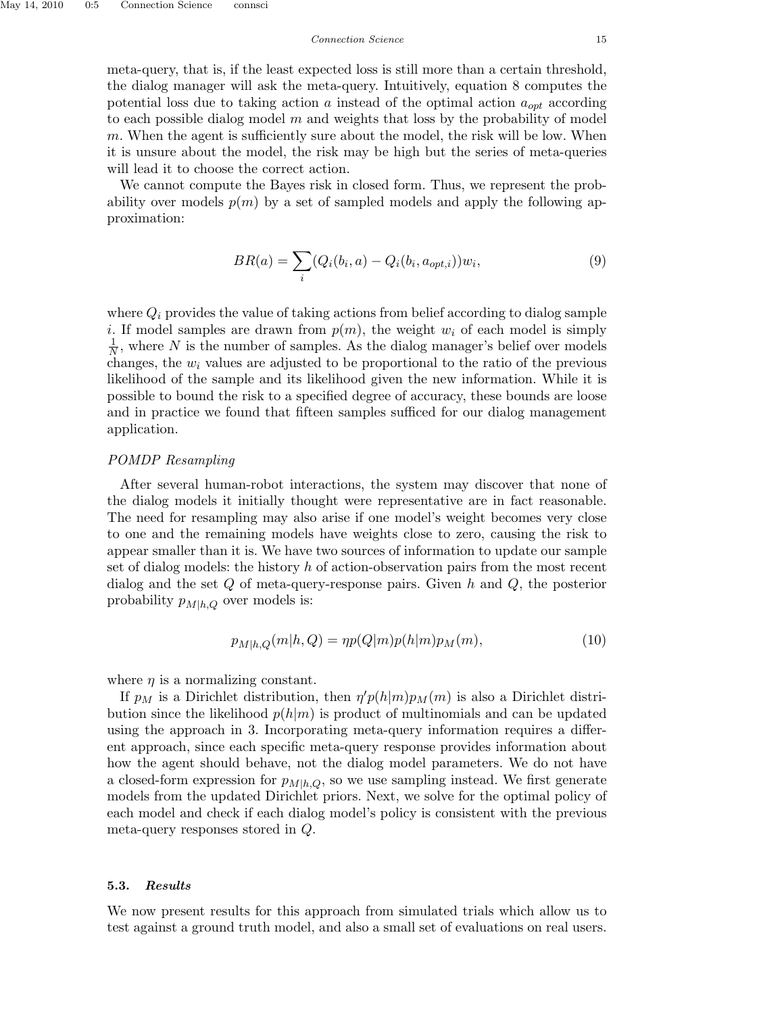We cannot compute the Bayes risk in closed form. Thus, we represent the probability over models  $p(m)$  by a set of sampled models and apply the following approximation:

$$
BR(a) = \sum_{i} (Q_i(b_i, a) - Q_i(b_i, a_{opt,i})) w_i,
$$
\n(9)

where  $Q_i$  provides the value of taking actions from belief according to dialog sample i. If model samples are drawn from  $p(m)$ , the weight  $w_i$  of each model is simply  $\frac{1}{N}$ , where N is the number of samples. As the dialog manager's belief over models changes, the  $w_i$  values are adjusted to be proportional to the ratio of the previous likelihood of the sample and its likelihood given the new information. While it is possible to bound the risk to a specified degree of accuracy, these bounds are loose and in practice we found that fifteen samples sufficed for our dialog management application.

## POMDP Resampling

After several human-robot interactions, the system may discover that none of the dialog models it initially thought were representative are in fact reasonable. The need for resampling may also arise if one model's weight becomes very close to one and the remaining models have weights close to zero, causing the risk to appear smaller than it is. We have two sources of information to update our sample set of dialog models: the history h of action-observation pairs from the most recent dialog and the set  $Q$  of meta-query-response pairs. Given h and  $Q$ , the posterior probability  $p_{M|h,Q}$  over models is:

$$
p_{M|h,Q}(m|h,Q) = \eta p(Q|m)p(h|m)p_M(m), \qquad (10)
$$

where  $\eta$  is a normalizing constant.

If  $p_M$  is a Dirichlet distribution, then  $\eta' p(h|m) p_M(m)$  is also a Dirichlet distribution since the likelihood  $p(h|m)$  is product of multinomials and can be updated using the approach in 3. Incorporating meta-query information requires a different approach, since each specific meta-query response provides information about how the agent should behave, not the dialog model parameters. We do not have a closed-form expression for  $p_{M|h,Q}$ , so we use sampling instead. We first generate models from the updated Dirichlet priors. Next, we solve for the optimal policy of each model and check if each dialog model's policy is consistent with the previous meta-query responses stored in Q.

## 5.3. Results

We now present results for this approach from simulated trials which allow us to test against a ground truth model, and also a small set of evaluations on real users.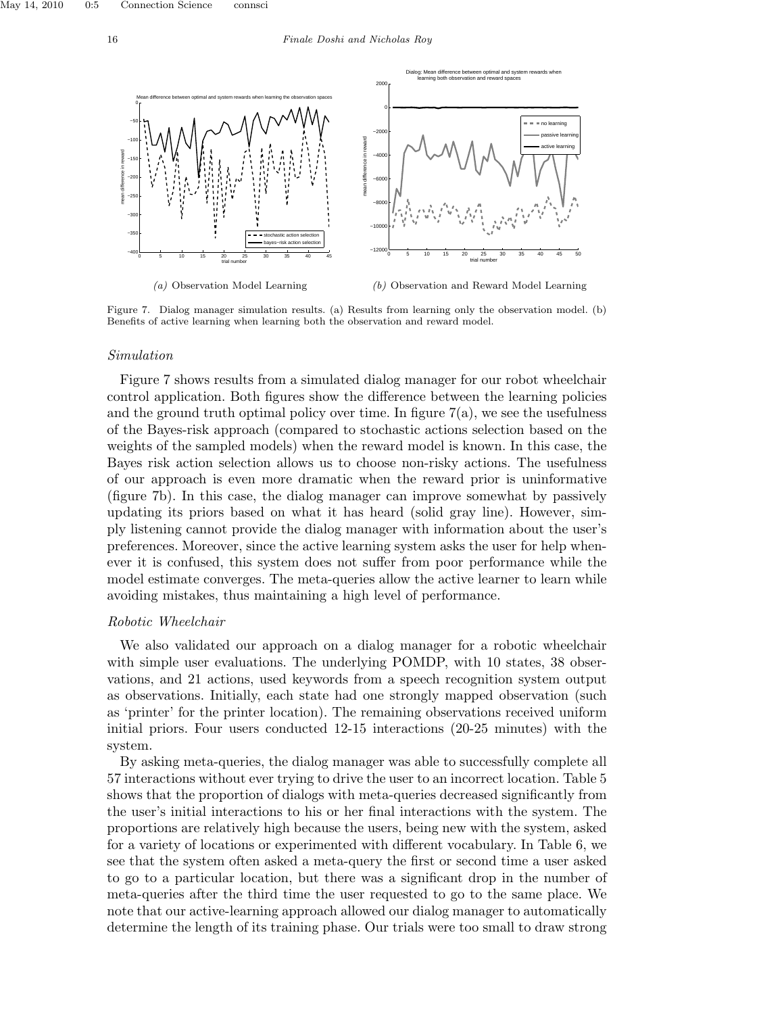

(b) Observation and Reward Model Learning

Figure 7. Dialog manager simulation results. (a) Results from learning only the observation model. (b) Benefits of active learning when learning both the observation and reward model.

#### Simulation

Figure 7 shows results from a simulated dialog manager for our robot wheelchair control application. Both figures show the difference between the learning policies and the ground truth optimal policy over time. In figure  $7(a)$ , we see the usefulness of the Bayes-risk approach (compared to stochastic actions selection based on the weights of the sampled models) when the reward model is known. In this case, the Bayes risk action selection allows us to choose non-risky actions. The usefulness of our approach is even more dramatic when the reward prior is uninformative (figure 7b). In this case, the dialog manager can improve somewhat by passively updating its priors based on what it has heard (solid gray line). However, simply listening cannot provide the dialog manager with information about the user's preferences. Moreover, since the active learning system asks the user for help whenever it is confused, this system does not suffer from poor performance while the model estimate converges. The meta-queries allow the active learner to learn while avoiding mistakes, thus maintaining a high level of performance.

#### Robotic Wheelchair

We also validated our approach on a dialog manager for a robotic wheelchair with simple user evaluations. The underlying POMDP, with 10 states, 38 observations, and 21 actions, used keywords from a speech recognition system output as observations. Initially, each state had one strongly mapped observation (such as 'printer' for the printer location). The remaining observations received uniform initial priors. Four users conducted 12-15 interactions (20-25 minutes) with the system.

By asking meta-queries, the dialog manager was able to successfully complete all 57 interactions without ever trying to drive the user to an incorrect location. Table 5 shows that the proportion of dialogs with meta-queries decreased significantly from the user's initial interactions to his or her final interactions with the system. The proportions are relatively high because the users, being new with the system, asked for a variety of locations or experimented with different vocabulary. In Table 6, we see that the system often asked a meta-query the first or second time a user asked to go to a particular location, but there was a significant drop in the number of meta-queries after the third time the user requested to go to the same place. We note that our active-learning approach allowed our dialog manager to automatically determine the length of its training phase. Our trials were too small to draw strong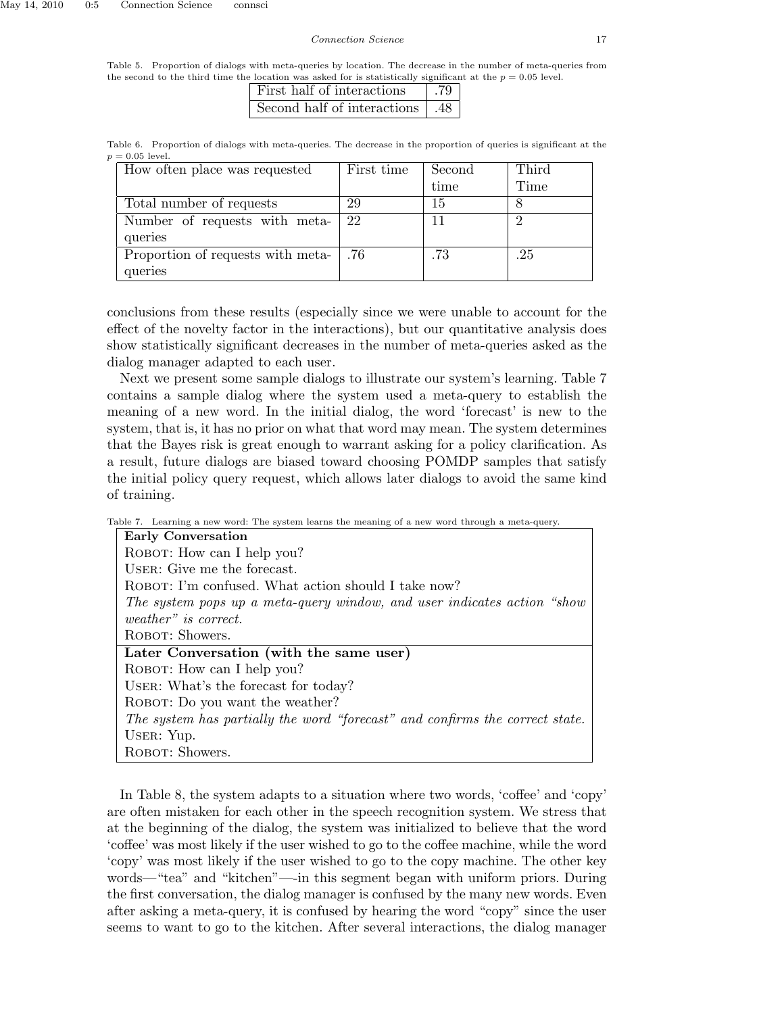Table 5. Proportion of dialogs with meta-queries by location. The decrease in the number of meta-queries from the second to the third time the location was asked for is statistically significant at the  $p = 0.05$  level.

| First half of interactions        |  |
|-----------------------------------|--|
| Second half of interactions   .48 |  |

Table 6. Proportion of dialogs with meta-queries. The decrease in the proportion of queries is significant at the  $p = 0.05$  level.

| How often place was requested     | First time | Second | Third |
|-----------------------------------|------------|--------|-------|
|                                   |            | time   | Time  |
| Total number of requests          | 29         | 15     |       |
| Number of requests with meta-     | 22         |        |       |
| queries                           |            |        |       |
| Proportion of requests with meta- | .76        | .73    | .25   |
| queries                           |            |        |       |

conclusions from these results (especially since we were unable to account for the effect of the novelty factor in the interactions), but our quantitative analysis does show statistically significant decreases in the number of meta-queries asked as the dialog manager adapted to each user.

Next we present some sample dialogs to illustrate our system's learning. Table 7 contains a sample dialog where the system used a meta-query to establish the meaning of a new word. In the initial dialog, the word 'forecast' is new to the system, that is, it has no prior on what that word may mean. The system determines that the Bayes risk is great enough to warrant asking for a policy clarification. As a result, future dialogs are biased toward choosing POMDP samples that satisfy the initial policy query request, which allows later dialogs to avoid the same kind of training.

Table 7. Learning a new word: The system learns the meaning of a new word through a meta-query.

| <b>Early Conversation</b>                                                    |  |  |
|------------------------------------------------------------------------------|--|--|
| ROBOT: How can I help you?                                                   |  |  |
| USER: Give me the forecast.                                                  |  |  |
| ROBOT: I'm confused. What action should I take now?                          |  |  |
| The system pops up a meta-query window, and user indicates action "show"     |  |  |
| <i>weather</i> " <i>is correct.</i>                                          |  |  |
| ROBOT: Showers.                                                              |  |  |
| Later Conversation (with the same user)                                      |  |  |
| ROBOT: How can I help you?                                                   |  |  |
| USER: What's the forecast for today?                                         |  |  |
| ROBOT: Do you want the weather?                                              |  |  |
| The system has partially the word "forecast" and confirms the correct state. |  |  |
| USER: Yup.                                                                   |  |  |
| ROBOT: Showers.                                                              |  |  |
|                                                                              |  |  |

In Table 8, the system adapts to a situation where two words, 'coffee' and 'copy' are often mistaken for each other in the speech recognition system. We stress that at the beginning of the dialog, the system was initialized to believe that the word 'coffee' was most likely if the user wished to go to the coffee machine, while the word 'copy' was most likely if the user wished to go to the copy machine. The other key words—"tea" and "kitchen"—-in this segment began with uniform priors. During the first conversation, the dialog manager is confused by the many new words. Even after asking a meta-query, it is confused by hearing the word "copy" since the user seems to want to go to the kitchen. After several interactions, the dialog manager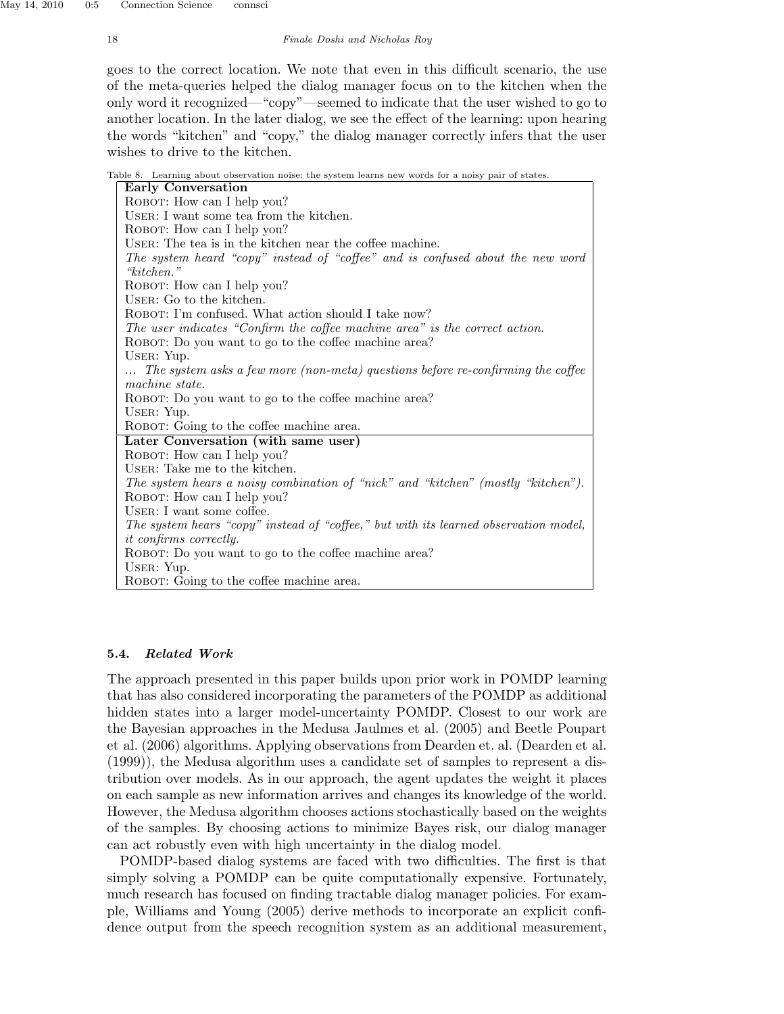goes to the correct location. We note that even in this difficult scenario, the use of the meta-queries helped the dialog manager focus on to the kitchen when the only word it recognized—"copy"—seemed to indicate that the user wished to go to another location. In the later dialog, we see the effect of the learning: upon hearing the words "kitchen" and "copy," the dialog manager correctly infers that the user wishes to drive to the kitchen.

Table 8. Learning about observation noise: the system learns new words for a noisy pair of states.

| <b>Early Conversation</b>                                                                    |
|----------------------------------------------------------------------------------------------|
| ROBOT: How can I help you?                                                                   |
| USER: I want some tea from the kitchen.                                                      |
| ROBOT: How can I help you?                                                                   |
| USER: The tea is in the kitchen near the coffee machine.                                     |
| The system heard "copy" instead of "coffee" and is confused about the new word<br>"kitchen." |
| ROBOT: How can I help you?                                                                   |
| USER: Go to the kitchen.                                                                     |
| ROBOT: I'm confused. What action should I take now?                                          |
| The user indicates "Confirm the coffee machine area" is the correct action.                  |
| ROBOT: Do you want to go to the coffee machine area?                                         |
| USER: Yup.                                                                                   |
| The system asks a few more (non-meta) questions before re-confirming the coffee              |
| machine state.                                                                               |
| ROBOT: Do you want to go to the coffee machine area?                                         |
| USER: Yup.                                                                                   |
| ROBOT: Going to the coffee machine area.                                                     |
| Later Conversation (with same user)                                                          |
| ROBOT: How can I help you?                                                                   |
| USER: Take me to the kitchen.                                                                |
| The system hears a noisy combination of "nick" and "kitchen" (mostly "kitchen").             |
| ROBOT: How can I help you?                                                                   |
| USER: I want some coffee.                                                                    |
| The system hears "copy" instead of "coffee," but with its learned observation model,         |
| <i>it confirms correctly.</i>                                                                |
| ROBOT: Do you want to go to the coffee machine area?                                         |
| USER: Yup.                                                                                   |
| ROBOT: Going to the coffee machine area.                                                     |

## 5.4. Related Work

The approach presented in this paper builds upon prior work in POMDP learning that has also considered incorporating the parameters of the POMDP as additional hidden states into a larger model-uncertainty POMDP. Closest to our work are the Bayesian approaches in the Medusa Jaulmes et al. (2005) and Beetle Poupart et al. (2006) algorithms. Applying observations from Dearden et. al. (Dearden et al. (1999)), the Medusa algorithm uses a candidate set of samples to represent a distribution over models. As in our approach, the agent updates the weight it places on each sample as new information arrives and changes its knowledge of the world. However, the Medusa algorithm chooses actions stochastically based on the weights of the samples. By choosing actions to minimize Bayes risk, our dialog manager can act robustly even with high uncertainty in the dialog model.

POMDP-based dialog systems are faced with two difficulties. The first is that simply solving a POMDP can be quite computationally expensive. Fortunately, much research has focused on finding tractable dialog manager policies. For example, Williams and Young (2005) derive methods to incorporate an explicit confidence output from the speech recognition system as an additional measurement,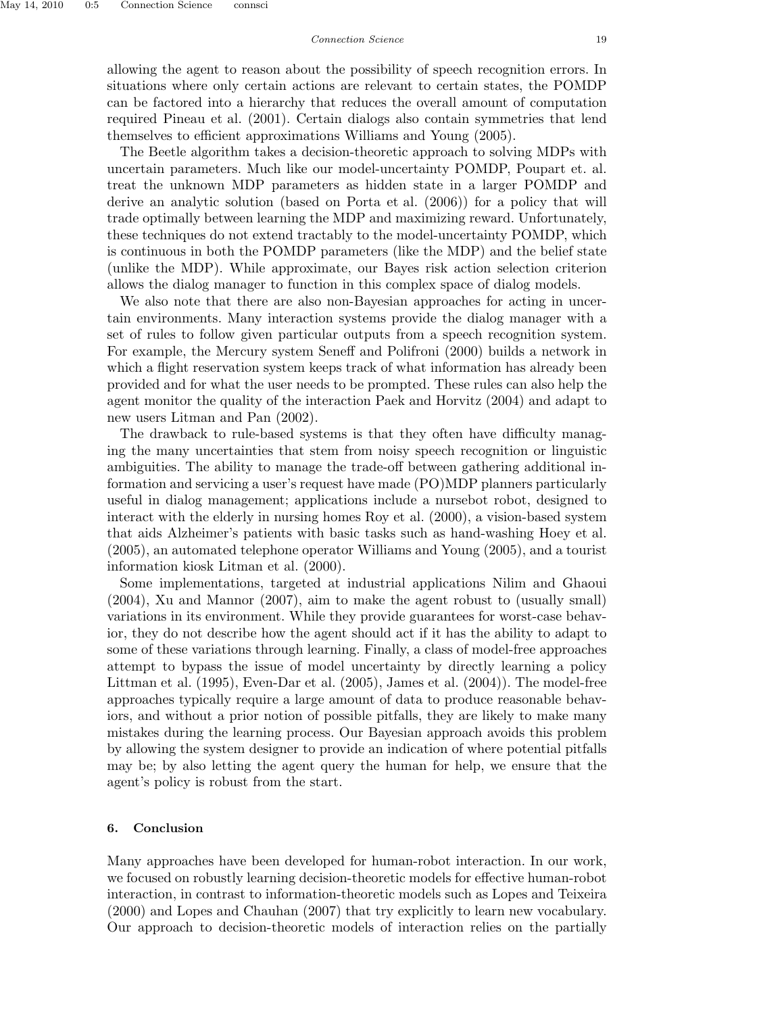allowing the agent to reason about the possibility of speech recognition errors. In situations where only certain actions are relevant to certain states, the POMDP can be factored into a hierarchy that reduces the overall amount of computation required Pineau et al. (2001). Certain dialogs also contain symmetries that lend themselves to efficient approximations Williams and Young (2005).

The Beetle algorithm takes a decision-theoretic approach to solving MDPs with uncertain parameters. Much like our model-uncertainty POMDP, Poupart et. al. treat the unknown MDP parameters as hidden state in a larger POMDP and derive an analytic solution (based on Porta et al. (2006)) for a policy that will trade optimally between learning the MDP and maximizing reward. Unfortunately, these techniques do not extend tractably to the model-uncertainty POMDP, which is continuous in both the POMDP parameters (like the MDP) and the belief state (unlike the MDP). While approximate, our Bayes risk action selection criterion allows the dialog manager to function in this complex space of dialog models.

We also note that there are also non-Bayesian approaches for acting in uncertain environments. Many interaction systems provide the dialog manager with a set of rules to follow given particular outputs from a speech recognition system. For example, the Mercury system Seneff and Polifroni (2000) builds a network in which a flight reservation system keeps track of what information has already been provided and for what the user needs to be prompted. These rules can also help the agent monitor the quality of the interaction Paek and Horvitz (2004) and adapt to new users Litman and Pan (2002).

The drawback to rule-based systems is that they often have difficulty managing the many uncertainties that stem from noisy speech recognition or linguistic ambiguities. The ability to manage the trade-off between gathering additional information and servicing a user's request have made (PO)MDP planners particularly useful in dialog management; applications include a nursebot robot, designed to interact with the elderly in nursing homes Roy et al. (2000), a vision-based system that aids Alzheimer's patients with basic tasks such as hand-washing Hoey et al. (2005), an automated telephone operator Williams and Young (2005), and a tourist information kiosk Litman et al. (2000).

Some implementations, targeted at industrial applications Nilim and Ghaoui (2004), Xu and Mannor (2007), aim to make the agent robust to (usually small) variations in its environment. While they provide guarantees for worst-case behavior, they do not describe how the agent should act if it has the ability to adapt to some of these variations through learning. Finally, a class of model-free approaches attempt to bypass the issue of model uncertainty by directly learning a policy Littman et al. (1995), Even-Dar et al. (2005), James et al. (2004)). The model-free approaches typically require a large amount of data to produce reasonable behaviors, and without a prior notion of possible pitfalls, they are likely to make many mistakes during the learning process. Our Bayesian approach avoids this problem by allowing the system designer to provide an indication of where potential pitfalls may be; by also letting the agent query the human for help, we ensure that the agent's policy is robust from the start.

## 6. Conclusion

Many approaches have been developed for human-robot interaction. In our work, we focused on robustly learning decision-theoretic models for effective human-robot interaction, in contrast to information-theoretic models such as Lopes and Teixeira (2000) and Lopes and Chauhan (2007) that try explicitly to learn new vocabulary. Our approach to decision-theoretic models of interaction relies on the partially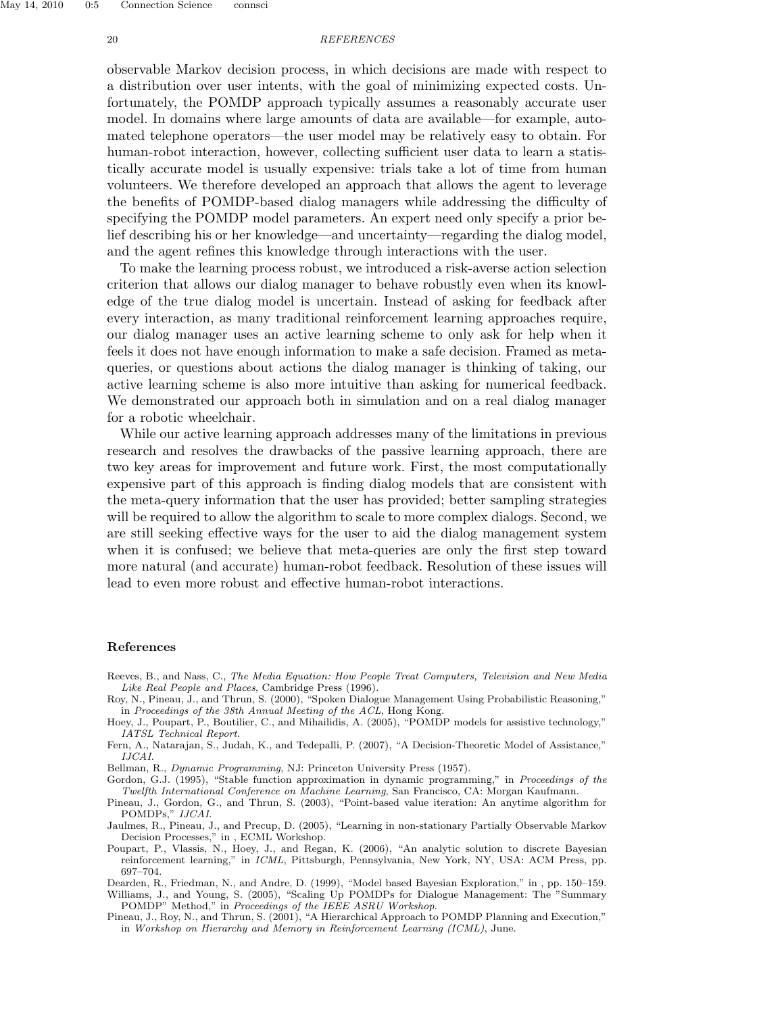#### 20 REFERENCES

observable Markov decision process, in which decisions are made with respect to a distribution over user intents, with the goal of minimizing expected costs. Unfortunately, the POMDP approach typically assumes a reasonably accurate user model. In domains where large amounts of data are available—for example, automated telephone operators—the user model may be relatively easy to obtain. For human-robot interaction, however, collecting sufficient user data to learn a statistically accurate model is usually expensive: trials take a lot of time from human volunteers. We therefore developed an approach that allows the agent to leverage the benefits of POMDP-based dialog managers while addressing the difficulty of specifying the POMDP model parameters. An expert need only specify a prior belief describing his or her knowledge—and uncertainty—regarding the dialog model, and the agent refines this knowledge through interactions with the user.

To make the learning process robust, we introduced a risk-averse action selection criterion that allows our dialog manager to behave robustly even when its knowledge of the true dialog model is uncertain. Instead of asking for feedback after every interaction, as many traditional reinforcement learning approaches require, our dialog manager uses an active learning scheme to only ask for help when it feels it does not have enough information to make a safe decision. Framed as metaqueries, or questions about actions the dialog manager is thinking of taking, our active learning scheme is also more intuitive than asking for numerical feedback. We demonstrated our approach both in simulation and on a real dialog manager for a robotic wheelchair.

While our active learning approach addresses many of the limitations in previous research and resolves the drawbacks of the passive learning approach, there are two key areas for improvement and future work. First, the most computationally expensive part of this approach is finding dialog models that are consistent with the meta-query information that the user has provided; better sampling strategies will be required to allow the algorithm to scale to more complex dialogs. Second, we are still seeking effective ways for the user to aid the dialog management system when it is confused; we believe that meta-queries are only the first step toward more natural (and accurate) human-robot feedback. Resolution of these issues will lead to even more robust and effective human-robot interactions.

#### References

- Reeves, B., and Nass, C., The Media Equation: How People Treat Computers, Television and New Media Like Real People and Places, Cambridge Press (1996).
- Roy, N., Pineau, J., and Thrun, S. (2000), "Spoken Dialogue Management Using Probabilistic Reasoning," in Proceedings of the 38th Annual Meeting of the ACL, Hong Kong.
- Hoey, J., Poupart, P., Boutilier, C., and Mihailidis, A. (2005), "POMDP models for assistive technology," IATSL Technical Report.
- Fern, A., Natarajan, S., Judah, K., and Tedepalli, P. (2007), "A Decision-Theoretic Model of Assistance," IJCAI.
- Bellman, R., Dynamic Programming, NJ: Princeton University Press (1957).
- Gordon, G.J. (1995), "Stable function approximation in dynamic programming," in Proceedings of the Twelfth International Conference on Machine Learning, San Francisco, CA: Morgan Kaufmann.
- Pineau, J., Gordon, G., and Thrun, S. (2003), "Point-based value iteration: An anytime algorithm for POMDPs," IJCAI.
- Jaulmes, R., Pineau, J., and Precup, D. (2005), "Learning in non-stationary Partially Observable Markov Decision Processes," in , ECML Workshop.
- Poupart, P., Vlassis, N., Hoey, J., and Regan, K. (2006), "An analytic solution to discrete Bayesian reinforcement learning," in ICML, Pittsburgh, Pennsylvania, New York, NY, USA: ACM Press, pp. 697–704.
- Dearden, R., Friedman, N., and Andre, D. (1999), "Model based Bayesian Exploration," in , pp. 150–159. Williams, J., and Young, S. (2005), "Scaling Up POMDPs for Dialogue Management: The "Summary POMDP" Method," in Proceedings of the IEEE ASRU Workshop.
- Pineau, J., Roy, N., and Thrun, S. (2001), "A Hierarchical Approach to POMDP Planning and Execution," in Workshop on Hierarchy and Memory in Reinforcement Learning (ICML), June.